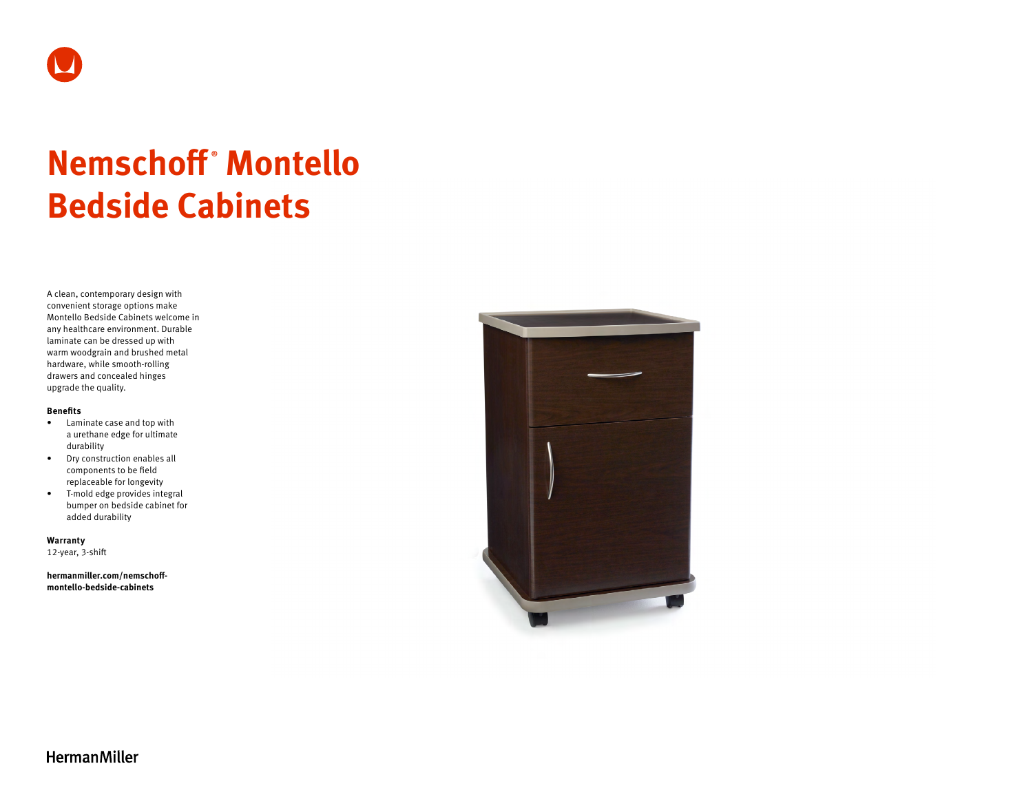

# **Nemschoff ® Montello Bedside Cabinets**

A clean, contemporary design with convenient storage options make Montello Bedside Cabinets welcome in any healthcare environment. Durable laminate can be dressed up with warm woodgrain and brushed metal hardware, while smooth-rolling drawers and concealed hinges upgrade the quality.

#### **Benefits**

- Laminate case and top with a urethane edge for ultimate durability
- Dry construction enables all components to be field replaceable for longevity
- T-mold edge provides integral bumper on bedside cabinet for added durability

**Warranty**  12-year, 3-shift

**[hermanmiller.com/nemschoff](http://hermanmiller.com/nemschoff-montello-bedside-cabinets)[montello-bedside-cabinets](http://hermanmiller.com/nemschoff-montello-bedside-cabinets)**



**HermanMiller**